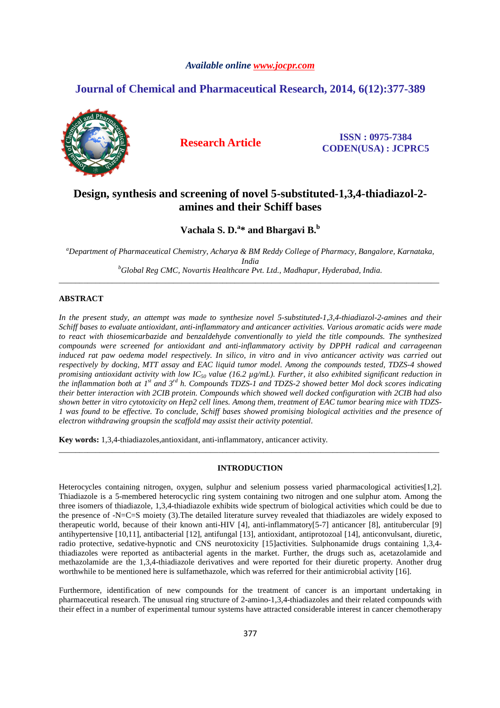# *Available online www.jocpr.com*

# **Journal of Chemical and Pharmaceutical Research, 2014, 6(12):377-389**



**Research Article ISSN : 0975-7384 CODEN(USA) : JCPRC5**

# **Design, synthesis and screening of novel 5-substituted-1,3,4-thiadiazol-2 amines and their Schiff bases**

**Vachala S. D.<sup>a</sup> \* and Bhargavi B.<sup>b</sup>**

*<sup>a</sup>Department of Pharmaceutical Chemistry, Acharya & BM Reddy College of Pharmacy, Bangalore, Karnataka, India <sup>b</sup>Global Reg CMC, Novartis Healthcare Pvt. Ltd., Madhapur, Hyderabad, India.* 

\_\_\_\_\_\_\_\_\_\_\_\_\_\_\_\_\_\_\_\_\_\_\_\_\_\_\_\_\_\_\_\_\_\_\_\_\_\_\_\_\_\_\_\_\_\_\_\_\_\_\_\_\_\_\_\_\_\_\_\_\_\_\_\_\_\_\_\_\_\_\_\_\_\_\_\_\_\_\_\_\_\_\_\_\_\_\_\_\_\_\_\_\_

# **ABSTRACT**

*In the present study, an attempt was made to synthesize novel 5-substituted-1,3,4-thiadiazol-2-amines and their Schiff bases to evaluate antioxidant, anti-inflammatory and anticancer activities. Various aromatic acids were made to react with thiosemicarbazide and benzaldehyde conventionally to yield the title compounds. The synthesized compounds were screened for antioxidant and anti-inflammatory activity by DPPH radical and carrageenan* induced rat paw oedema model respectively. In silico, in vitro and in vivo anticancer activity was carried out *respectively by docking, MTT assay and EAC liquid tumor model. Among the compounds tested, TDZS-4 showed promising antioxidant activity with low IC50 value (16.2 µg/mL). Further, it also exhibited significant reduction in the inflammation both at 1st and 3rd h. Compounds TDZS-1 and TDZS-2 showed better Mol dock scores indicating their better interaction with 2CIB protein. Compounds which showed well docked configuration with 2CIB had also shown better in vitro cytotoxicity on Hep2 cell lines. Among them, treatment of EAC tumor bearing mice with TDZS-1 was found to be effective. To conclude, Schiff bases showed promising biological activities and the presence of electron withdrawing groupsin the scaffold may assist their activity potential.* 

**Key words:** 1,3,4-thiadiazoles,antioxidant, anti-inflammatory, anticancer activity.

# **INTRODUCTION**

\_\_\_\_\_\_\_\_\_\_\_\_\_\_\_\_\_\_\_\_\_\_\_\_\_\_\_\_\_\_\_\_\_\_\_\_\_\_\_\_\_\_\_\_\_\_\_\_\_\_\_\_\_\_\_\_\_\_\_\_\_\_\_\_\_\_\_\_\_\_\_\_\_\_\_\_\_\_\_\_\_\_\_\_\_\_\_\_\_\_\_\_\_

Heterocycles containing nitrogen, oxygen, sulphur and selenium possess varied pharmacological activities[1,2]. Thiadiazole is a 5-membered heterocyclic ring system containing two nitrogen and one sulphur atom. Among the three isomers of thiadiazole, 1,3,4-thiadiazole exhibits wide spectrum of biological activities which could be due to the presence of -N=C=S moiety (3).The detailed literature survey revealed that thiadiazoles are widely exposed to therapeutic world, because of their known anti-HIV [4], anti-inflammatory[5-7] anticancer [8], antitubercular [9] antihypertensive [10,11], antibacterial [12], antifungal [13], antioxidant, antiprotozoal [14], anticonvulsant, diuretic, radio protective, sedative-hypnotic and CNS neurotoxicity [15]activities. Sulphonamide drugs containing 1,3,4 thiadiazoles were reported as antibacterial agents in the market. Further, the drugs such as, acetazolamide and methazolamide are the 1,3,4-thiadiazole derivatives and were reported for their diuretic property. Another drug worthwhile to be mentioned here is sulfamethazole, which was referred for their antimicrobial activity [16].

Furthermore, identification of new compounds for the treatment of cancer is an important undertaking in pharmaceutical research. The unusual ring structure of 2-amino-1,3,4-thiadiazoles and their related compounds with their effect in a number of experimental tumour systems have attracted considerable interest in cancer chemotherapy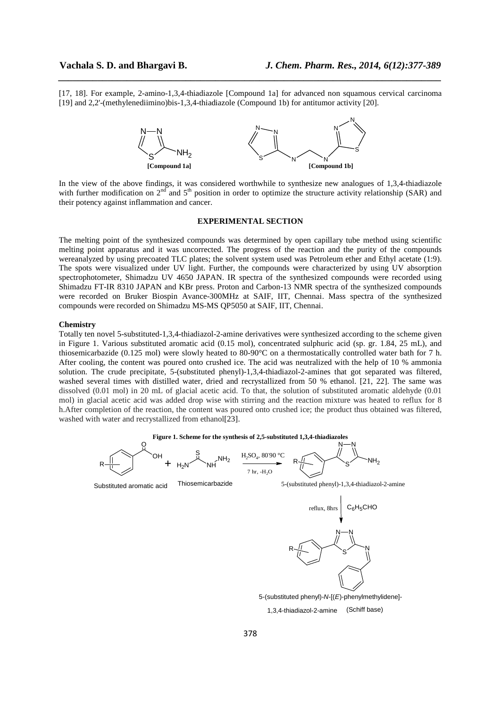[17, 18]. For example, 2-amino-1,3,4-thiadiazole [Compound 1a] for advanced non squamous cervical carcinoma [19] and 2,2'-(methylenediimino)bis-1,3,4-thiadiazole (Compound 1b) for antitumor activity [20].

*\_\_\_\_\_\_\_\_\_\_\_\_\_\_\_\_\_\_\_\_\_\_\_\_\_\_\_\_\_\_\_\_\_\_\_\_\_\_\_\_\_\_\_\_\_\_\_\_\_\_\_\_\_\_\_\_\_\_\_\_\_\_\_\_\_\_\_\_\_\_\_\_\_\_\_\_\_\_*



In the view of the above findings, it was considered worthwhile to synthesize new analogues of 1,3,4-thiadiazole with further modification on  $2<sup>nd</sup>$  and  $5<sup>th</sup>$  position in order to optimize the structure activity relationship (SAR) and their potency against inflammation and cancer.

## **EXPERIMENTAL SECTION**

The melting point of the synthesized compounds was determined by open capillary tube method using scientific melting point apparatus and it was uncorrected. The progress of the reaction and the purity of the compounds wereanalyzed by using precoated TLC plates; the solvent system used was Petroleum ether and Ethyl acetate (1:9). The spots were visualized under UV light. Further, the compounds were characterized by using UV absorption spectrophotometer, Shimadzu UV 4650 JAPAN. IR spectra of the synthesized compounds were recorded using Shimadzu FT-IR 8310 JAPAN and KBr press. Proton and Carbon-13 NMR spectra of the synthesized compounds were recorded on Bruker Biospin Avance-300MHz at SAIF, IIT, Chennai. Mass spectra of the synthesized compounds were recorded on Shimadzu MS-MS QP5050 at SAIF, IIT, Chennai.

#### **Chemistry**

Totally ten novel 5-substituted-1,3,4-thiadiazol-2-amine derivatives were synthesized according to the scheme given in Figure 1. Various substituted aromatic acid (0.15 mol), concentrated sulphuric acid (sp. gr. 1.84, 25 mL), and thiosemicarbazide (0.125 mol) were slowly heated to 80-90°C on a thermostatically controlled water bath for 7 h. After cooling, the content was poured onto crushed ice. The acid was neutralized with the help of 10 % ammonia solution. The crude precipitate, 5-(substituted phenyl)-1,3,4-thiadiazol-2-amines that got separated was filtered, washed several times with distilled water, dried and recrystallized from 50 % ethanol. [21, 22]. The same was dissolved (0.01 mol) in 20 mL of glacial acetic acid. To that, the solution of substituted aromatic aldehyde (0.01 mol) in glacial acetic acid was added drop wise with stirring and the reaction mixture was heated to reflux for 8 h.After completion of the reaction, the content was poured onto crushed ice; the product thus obtained was filtered, washed with water and recrystallized from ethanol[23].

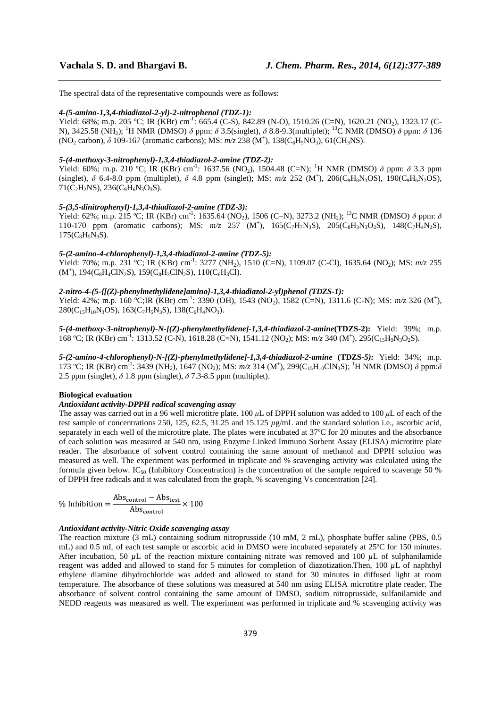The spectral data of the representative compounds were as follows:

#### *4-(5-amino-1,3,4-thiadiazol-2-yl)-2-nitrophenol (TDZ-1):*

Yield: 68%; m.p. 205 °C; IR (KBr) cm<sup>-1</sup>: 665.4 (C-S), 842.89 (N-O), 1510.26 (C=N), 1620.21 (NO<sub>2</sub>), 1323.17 (C-N), 3425.58 (NH2); <sup>1</sup>H NMR (DMSO) *δ* ppm: *δ* 3.5(singlet), *δ* 8.8-9.3(multiplet); <sup>13</sup>C NMR (DMSO) *δ* ppm: *δ* 136 (NO<sub>2</sub> carbon), δ 109-167 (aromatic carbons); MS:  $m/z$  238 (M<sup>+</sup>), 138(C<sub>6</sub>H<sub>5</sub>NO<sub>3</sub>), 61(CH<sub>3</sub>NS).

*\_\_\_\_\_\_\_\_\_\_\_\_\_\_\_\_\_\_\_\_\_\_\_\_\_\_\_\_\_\_\_\_\_\_\_\_\_\_\_\_\_\_\_\_\_\_\_\_\_\_\_\_\_\_\_\_\_\_\_\_\_\_\_\_\_\_\_\_\_\_\_\_\_\_\_\_\_\_*

# *5-(4-methoxy-3-nitrophenyl)-1,3,4-thiadiazol-2-amine (TDZ-2):*

Yield: 60%; m.p. 210 °C; IR (KBr) cm<sup>-1</sup>: 1637.56 (NO<sub>2</sub>), 1504.48 (C=N); <sup>1</sup>H NMR (DMSO) δ ppm: δ 3.3 ppm (singlet),  $\delta$  6.4-8.0 ppm (multiplet),  $\delta$  4.8 ppm (singlet); MS:  $m/z$  252 (M<sup>+</sup>), 206(C<sub>9</sub>H<sub>8</sub>N<sub>3</sub>OS), 190(C<sub>9</sub>H<sub>6</sub>N<sub>2</sub>OS),  $71(C_2H_2NS)$ ,  $236(C_9H_6N_3O_3S)$ .

# *5-(3,5-dinitrophenyl)-1,3,4-thiadiazol-2-amine (TDZ-3):*

Yield: 62%; m.p. 215 °C; IR (KBr) cm<sup>-1</sup>: 1635.64 (NO<sub>2</sub>), 1506 (C=N), 3273.2 (NH<sub>2</sub>); <sup>13</sup>C NMR (DMSO) *δ* ppm: *δ* 110-170 ppm (aromatic carbons); MS:  $m/z$  257 (M<sup>+</sup>), 165(C<sub>7</sub>H<sub>7</sub>N<sub>3</sub>S), 205(C<sub>8</sub>H<sub>3</sub>N<sub>3</sub>O<sub>2</sub>S), 148(C<sub>7</sub>H<sub>4</sub>N<sub>2</sub>S),  $175(C_8H_5N_3S)$ .

### *5-(2-amino-4-chlorophenyl)-1,3,4-thiadiazol-2-amine (TDZ-5):*

Yield: 70%; m.p. 231 °C; IR (KBr) cm<sup>-1</sup>: 3277 (NH<sub>2</sub>), 1510 (C=N), 1109.07 (C-Cl), 1635.64 (NO<sub>2</sub>); MS:  $m/z$  255  $(M^{\dagger})$ , 194(C<sub>8</sub>H<sub>4</sub>ClN<sub>2</sub>S), 159(C<sub>8</sub>H<sub>3</sub>ClN<sub>2</sub>S), 110(C<sub>6</sub>H<sub>3</sub>Cl).

# *2-nitro-4-(5-{[(Z)-phenylmethylidene]amino}-1,3,4-thiadiazol-2-yl)phenol (TDZS-1):*

Yield: 42%; m.p. 160 °C;IR (KBr) cm<sup>-1</sup>: 3390 (OH), 1543 (NO<sub>2</sub>), 1582 (C=N), 1311.6 (C-N); MS:  $m/z$  326 (M<sup>+</sup>),  $280(C_{15}H_{10}N_3OS)$ , 163(C<sub>7</sub>H<sub>5</sub>N<sub>3</sub>S), 138(C<sub>6</sub>H<sub>4</sub>NO<sub>3</sub>).

*5-(4-methoxy-3-nitrophenyl)-N-[(Z)-phenylmethylidene]-1,3,4-thiadiazol-2-amine***(TDZS-2):** Yield: 39%; m.p. 168 °C; IR (KBr) cm<sup>-1</sup>: 1313.52 (C-N), 1618.28 (C=N), 1541.12 (NO<sub>2</sub>); MS:  $m/z$  340 (M<sup>+</sup>), 295(C<sub>15</sub>H<sub>9</sub>N<sub>3</sub>O<sub>2</sub>S).

*5-(2-amino-4-chlorophenyl)-N-[(Z)-phenylmethylidene]-1,3,4-thiadiazol-2-amine* **(TDZS-***5):* Yield: 34%; m.p. 173 °C; IR (KBr) cm<sup>-1</sup>: 3439 (NH<sub>2</sub>), 1647 (NO<sub>2</sub>); MS: *m/z* 314 (M<sup>+</sup>), 299(C<sub>15</sub>H<sub>10</sub>ClN<sub>3</sub>S); <sup>1</sup>H NMR (DMSO) δ ppm:δ 2.5 ppm (singlet),  $\delta$  1.8 ppm (singlet),  $\delta$  7.3-8.5 ppm (multiplet).

# **Biological evaluation**

# *Antioxidant activity-DPPH radical scavenging assay*

The assay was carried out in a 96 well microtitre plate. 100 *µ*L of DPPH solution was added to 100 *µ*L of each of the test sample of concentrations 250, 125, 62.5, 31.25 and 15.125 *µ*g/mL and the standard solution i.e., ascorbic acid, separately in each well of the microtitre plate. The plates were incubated at 37ºC for 20 minutes and the absorbance of each solution was measured at 540 nm, using Enzyme Linked Immuno Sorbent Assay (ELISA) microtitre plate reader. The absorbance of solvent control containing the same amount of methanol and DPPH solution was measured as well. The experiment was performed in triplicate and % scavenging activity was calculated using the formula given below. IC<sub>50</sub> (Inhibitory Concentration) is the concentration of the sample required to scavenge 50 % of DPPH free radicals and it was calculated from the graph, % scavenging Vs concentration [24].

% Inhibition  $=$   $\frac{\text{Abs}_{\text{control}} - \text{Abs}_{\text{test}}}{\text{N}}$  $\frac{\text{Antrol}}{\text{Abs}_{\text{control}}} \times 100$ 

# *Antioxidant activity-Nitric Oxide scavenging assay*

The reaction mixture (3 mL) containing sodium nitroprusside (10 mM, 2 mL), phosphate buffer saline (PBS, 0.5 mL) and 0.5 mL of each test sample or ascorbic acid in DMSO were incubated separately at 25ºC for 150 minutes. After incubation, 50  $\mu$ L of the reaction mixture containing nitrate was removed and 100  $\mu$ L of sulphanilamide reagent was added and allowed to stand for 5 minutes for completion of diazotization.Then, 100 *µ*L of naphthyl ethylene diamine dihydrochloride was added and allowed to stand for 30 minutes in diffused light at room temperature. The absorbance of these solutions was measured at 540 nm using ELISA microtitre plate reader. The absorbance of solvent control containing the same amount of DMSO, sodium nitroprusside, sulfanilamide and NEDD reagents was measured as well. The experiment was performed in triplicate and % scavenging activity was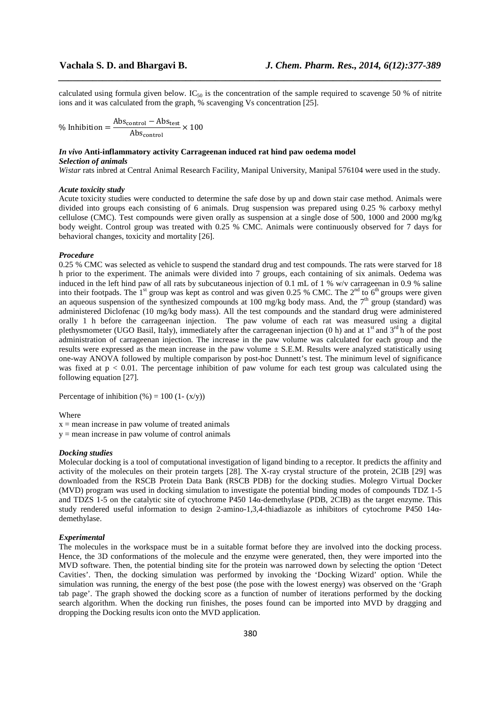calculated using formula given below. IC<sub>50</sub> is the concentration of the sample required to scavenge 50 % of nitrite ions and it was calculated from the graph, % scavenging Vs concentration [25].

*\_\_\_\_\_\_\_\_\_\_\_\_\_\_\_\_\_\_\_\_\_\_\_\_\_\_\_\_\_\_\_\_\_\_\_\_\_\_\_\_\_\_\_\_\_\_\_\_\_\_\_\_\_\_\_\_\_\_\_\_\_\_\_\_\_\_\_\_\_\_\_\_\_\_\_\_\_\_*

% Inhibition  $=$   $\frac{\text{Abs}_{\text{control}} - \text{Abs}_{\text{test}}}{\text{S}_{\text{test}}}$  $\frac{\text{Antrol}}{\text{Abs}_{\text{control}}} \times 100$ 

# *In vivo* **Anti-inflammatory activity Carrageenan induced rat hind paw oedema model**

# *Selection of animals*

*Wistar* rats inbred at Central Animal Research Facility, Manipal University, Manipal 576104 were used in the study.

#### *Acute toxicity study*

Acute toxicity studies were conducted to determine the safe dose by up and down stair case method. Animals were divided into groups each consisting of 6 animals. Drug suspension was prepared using 0.25 % carboxy methyl cellulose (CMC). Test compounds were given orally as suspension at a single dose of 500, 1000 and 2000 mg/kg body weight. Control group was treated with 0.25 % CMC. Animals were continuously observed for 7 days for behavioral changes, toxicity and mortality [26].

# *Procedure*

0.25 % CMC was selected as vehicle to suspend the standard drug and test compounds. The rats were starved for 18 h prior to the experiment. The animals were divided into 7 groups, each containing of six animals. Oedema was induced in the left hind paw of all rats by subcutaneous injection of 0.1 mL of 1 % w/v carrageenan in 0.9 % saline into their footpads. The  $1<sup>st</sup>$  group was kept as control and was given 0.25 % CMC. The  $2<sup>nd</sup>$  to 6<sup>th</sup> groups were given an aqueous suspension of the synthesized compounds at 100 mg/kg body mass. And, the  $7<sup>th</sup>$  group (standard) was administered Diclofenac (10 mg/kg body mass). All the test compounds and the standard drug were administered orally 1 h before the carrageenan injection. The paw volume of each rat was measured using a digital plethysmometer (UGO Basil, Italy), immediately after the carrageenan injection (0 h) and at 1<sup>st</sup> and 3<sup>rd</sup> h of the post administration of carrageenan injection. The increase in the paw volume was calculated for each group and the results were expressed as the mean increase in the paw volume  $\pm$  S.E.M. Results were analyzed statistically using one-way ANOVA followed by multiple comparison by post-hoc Dunnett's test. The minimum level of significance was fixed at  $p < 0.01$ . The percentage inhibition of paw volume for each test group was calculated using the following equation [27].

Percentage of inhibition  $(\% ) = 100$  (1-  $(x/y)$ )

#### Where

 $x =$  mean increase in paw volume of treated animals

 $y =$  mean increase in paw volume of control animals

#### *Docking studies*

Molecular docking is a tool of computational investigation of ligand binding to a receptor. It predicts the affinity and activity of the molecules on their protein targets [28]. The X-ray crystal structure of the protein, 2CIB [29] was downloaded from the RSCB Protein Data Bank (RSCB PDB) for the docking studies. Molegro Virtual Docker (MVD) program was used in docking simulation to investigate the potential binding modes of compounds TDZ 1-5 and TDZS 1-5 on the catalytic site of cytochrome P450 14α-demethylase (PDB, 2CIB) as the target enzyme. This study rendered useful information to design 2-amino-1,3,4-thiadiazole as inhibitors of cytochrome P450 14αdemethylase.

#### *Experimental*

The molecules in the workspace must be in a suitable format before they are involved into the docking process. Hence, the 3D conformations of the molecule and the enzyme were generated, then, they were imported into the MVD software. Then, the potential binding site for the protein was narrowed down by selecting the option 'Detect Cavities'. Then, the docking simulation was performed by invoking the 'Docking Wizard' option. While the simulation was running, the energy of the best pose (the pose with the lowest energy) was observed on the 'Graph tab page'. The graph showed the docking score as a function of number of iterations performed by the docking search algorithm. When the docking run finishes, the poses found can be imported into MVD by dragging and dropping the Docking results icon onto the MVD application.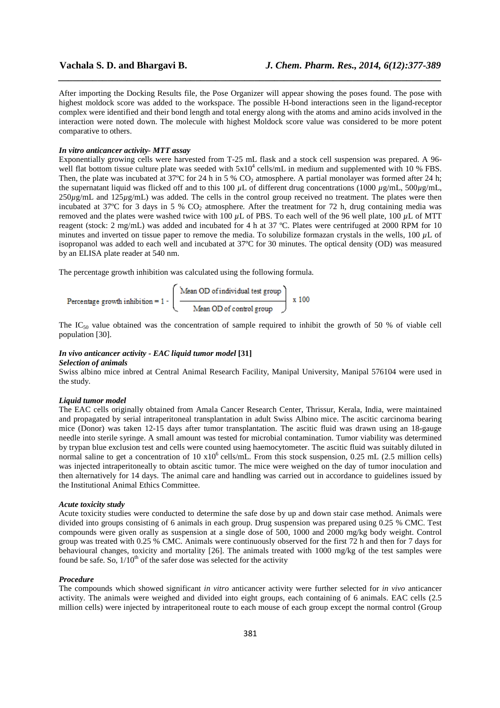After importing the Docking Results file, the Pose Organizer will appear showing the poses found. The pose with highest moldock score was added to the workspace. The possible H-bond interactions seen in the ligand-receptor complex were identified and their bond length and total energy along with the atoms and amino acids involved in the interaction were noted down. The molecule with highest Moldock score value was considered to be more potent comparative to others.

*\_\_\_\_\_\_\_\_\_\_\_\_\_\_\_\_\_\_\_\_\_\_\_\_\_\_\_\_\_\_\_\_\_\_\_\_\_\_\_\_\_\_\_\_\_\_\_\_\_\_\_\_\_\_\_\_\_\_\_\_\_\_\_\_\_\_\_\_\_\_\_\_\_\_\_\_\_\_*

### *In vitro anticancer activity- MTT assay*

Exponentially growing cells were harvested from T-25 mL flask and a stock cell suspension was prepared. A 96 well flat bottom tissue culture plate was seeded with  $5x10^4$  cells/mL in medium and supplemented with 10 % FBS. Then, the plate was incubated at 37°C for 24 h in 5 %  $CO<sub>2</sub>$  atmosphere. A partial monolayer was formed after 24 h; the supernatant liquid was flicked off and to this 100  $\mu$ L of different drug concentrations (1000  $\mu$ g/mL, 500 $\mu$ g/mL, 250*µ*g/mL and 125*µ*g/mL) was added. The cells in the control group received no treatment. The plates were then incubated at 37°C for 3 days in 5 %  $CO<sub>2</sub>$  atmosphere. After the treatment for 72 h, drug containing media was removed and the plates were washed twice with 100 *µ*L of PBS. To each well of the 96 well plate, 100 *µ*L of MTT reagent (stock: 2 mg/mL) was added and incubated for 4 h at 37 ºC. Plates were centrifuged at 2000 RPM for 10 minutes and inverted on tissue paper to remove the media. To solubilize formazan crystals in the wells, 100 *µ*L of isopropanol was added to each well and incubated at 37ºC for 30 minutes. The optical density (OD) was measured by an ELISA plate reader at 540 nm.

The percentage growth inhibition was calculated using the following formula.

Percentage growth inhibition = 
$$
1 - \left(\frac{\text{Mean OD of individual test group}}{\text{Mean OD of control group}}\right)
$$
 x 100

The IC<sub>50</sub> value obtained was the concentration of sample required to inhibit the growth of 50 % of viable cell population [30].

# *In vivo anticancer activity - EAC liquid tumor model* **[31]**

# *Selection of animals*

Swiss albino mice inbred at Central Animal Research Facility, Manipal University, Manipal 576104 were used in the study.

#### *Liquid tumor model*

The EAC cells originally obtained from Amala Cancer Research Center, Thrissur, Kerala, India, were maintained and propagated by serial intraperitoneal transplantation in adult Swiss Albino mice. The ascitic carcinoma bearing mice (Donor) was taken 12-15 days after tumor transplantation. The ascitic fluid was drawn using an 18-gauge needle into sterile syringe. A small amount was tested for microbial contamination. Tumor viability was determined by trypan blue exclusion test and cells were counted using haemocytometer. The ascitic fluid was suitably diluted in normal saline to get a concentration of 10 x10<sup>6</sup> cells/mL. From this stock suspension, 0.25 mL (2.5 million cells) was injected intraperitoneally to obtain ascitic tumor. The mice were weighed on the day of tumor inoculation and then alternatively for 14 days. The animal care and handling was carried out in accordance to guidelines issued by the Institutional Animal Ethics Committee.

### *Acute toxicity study*

Acute toxicity studies were conducted to determine the safe dose by up and down stair case method. Animals were divided into groups consisting of 6 animals in each group. Drug suspension was prepared using 0.25 % CMC. Test compounds were given orally as suspension at a single dose of 500, 1000 and 2000 mg/kg body weight. Control group was treated with 0.25 % CMC. Animals were continuously observed for the first 72 h and then for 7 days for behavioural changes, toxicity and mortality [26]. The animals treated with 1000 mg/kg of the test samples were found be safe. So,  $1/10^{th}$  of the safer dose was selected for the activity

#### *Procedure*

The compounds which showed significant *in vitro* anticancer activity were further selected for *in vivo* anticancer activity. The animals were weighed and divided into eight groups, each containing of 6 animals. EAC cells (2.5 million cells) were injected by intraperitoneal route to each mouse of each group except the normal control (Group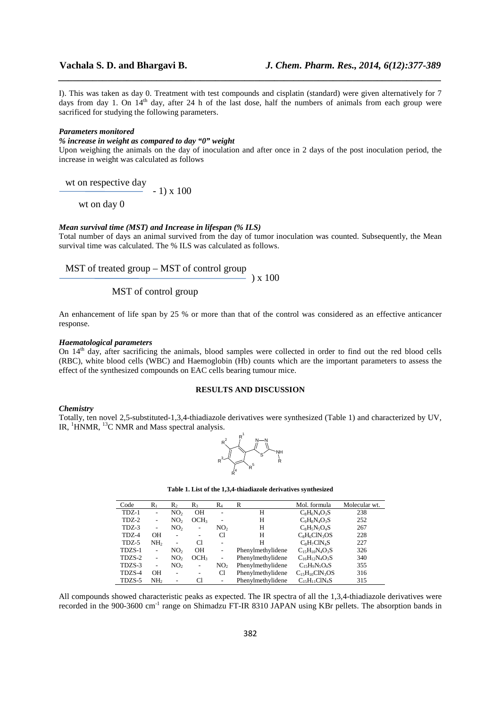I). This was taken as day 0. Treatment with test compounds and cisplatin (standard) were given alternatively for 7 days from day 1. On 14<sup>th</sup> day, after 24 h of the last dose, half the numbers of animals from each group were sacrificed for studying the following parameters.

*\_\_\_\_\_\_\_\_\_\_\_\_\_\_\_\_\_\_\_\_\_\_\_\_\_\_\_\_\_\_\_\_\_\_\_\_\_\_\_\_\_\_\_\_\_\_\_\_\_\_\_\_\_\_\_\_\_\_\_\_\_\_\_\_\_\_\_\_\_\_\_\_\_\_\_\_\_\_*

#### *Parameters monitored*

# *% increase in weight as compared to day "0" weight*

Upon weighing the animals on the day of inoculation and after once in 2 days of the post inoculation period, the increase in weight was calculated as follows

wt on respective day

- 1) x 100

wt on day 0

# *Mean survival time (MST) and Increase in lifespan (% ILS)*

Total number of days an animal survived from the day of tumor inoculation was counted. Subsequently, the Mean survival time was calculated. The % ILS was calculated as follows.

MST of treated group – MST of control group

 $-$  ) x 100

# MST of control group

An enhancement of life span by 25 % or more than that of the control was considered as an effective anticancer response.

# *Haematological parameters*

On  $14<sup>th</sup>$  day, after sacrificing the animals, blood samples were collected in order to find out the red blood cells (RBC), white blood cells (WBC) and Haemoglobin (Hb) counts which are the important parameters to assess the effect of the synthesized compounds on EAC cells bearing tumour mice.

### **RESULTS AND DISCUSSION**

## *Chemistry*

Totally, ten novel 2,5-substituted-1,3,4-thiadiazole derivatives were synthesized (Table 1) and characterized by UV, IR, <sup>1</sup>HNMR, <sup>13</sup>C NMR and Mass spectral analysis.



| Table 1. List of the 1,3,4-thiadiazole derivatives synthesized |  |
|----------------------------------------------------------------|--|
|                                                                |  |

| Code   | $R_1$                    | $\mathbf{R}_2$           | $R_3$                    | $R_4$                        | R                 | Mol. formula          | Molecular wt. |
|--------|--------------------------|--------------------------|--------------------------|------------------------------|-------------------|-----------------------|---------------|
| TDZ-1  | -                        | NO <sub>2</sub>          | <b>OH</b>                | ۰                            | Н                 | $C_8H_6N_4O_3S$       | 238           |
| TDZ-2  | $\overline{\phantom{a}}$ | NO <sub>2</sub>          | OCH <sub>3</sub>         | ۰                            | Н                 | $C_9H_8N_4O_3S$       | 252           |
| TDZ-3  | -                        | NO <sub>2</sub>          |                          | NO <sub>2</sub>              | Н                 | $C_8H_5N_5O_4S$       | 267           |
| TDZ-4  | OН                       | $\overline{\phantom{0}}$ | $\overline{\phantom{a}}$ | Cl                           | Н                 | $C_8H_6CIN_3OS$       | 228           |
| TDZ-5  | NH <sub>2</sub>          | $\overline{\phantom{0}}$ | CI                       | $\overline{a}$               | Н                 | $C_8H_7CIN_4S$        | 227           |
| TDZS-1 | ۰                        | NO <sub>2</sub>          | <b>OH</b>                | $\qquad \qquad \blacksquare$ | Phenylmethylidene | $C_{15}H_{10}N_4O_3S$ | 326           |
| TDZS-2 | $\overline{\phantom{a}}$ | NO <sub>2</sub>          | OCH3                     | $\overline{\phantom{0}}$     | Phenylmethylidene | $C_{16}H_{12}N_4O_3S$ | 340           |
| TDZS-3 | $\overline{\phantom{a}}$ | NO <sub>2</sub>          | ٠                        | NO <sub>2</sub>              | Phenylmethylidene | $C_{15}H_9N_5O_4S$    | 355           |
| TDZS-4 | OН                       | $\overline{\phantom{0}}$ | $\overline{\phantom{a}}$ | Cl                           | Phenylmethylidene | $C_{15}H_{10}CIN_3OS$ | 316           |
| TDZS-5 | NH <sub>2</sub>          | -                        | Cl                       | $\qquad \qquad \blacksquare$ | Phenylmethylidene | $C15H11ClN4S$         | 315           |

All compounds showed characteristic peaks as expected. The IR spectra of all the 1,3,4-thiadiazole derivatives were recorded in the 900-3600 cm<sup>-1</sup> range on Shimadzu FT-IR 8310 JAPAN using KBr pellets. The absorption bands in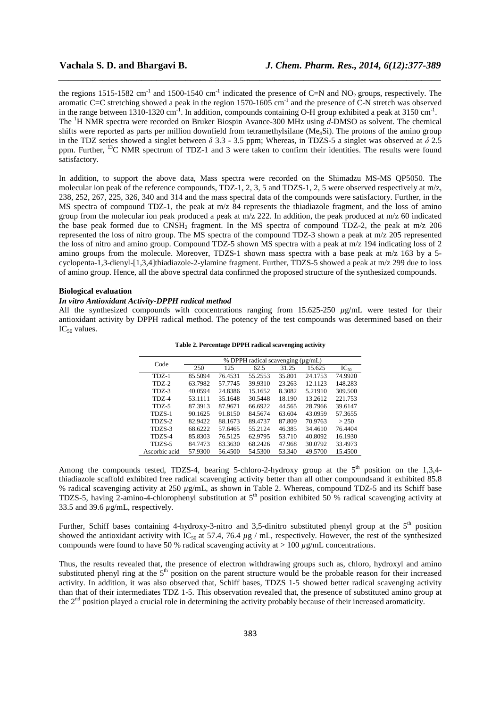the regions 1515-1582 cm<sup>-1</sup> and 1500-1540 cm<sup>-1</sup> indicated the presence of C=N and NO<sub>2</sub> groups, respectively. The aromatic C=C stretching showed a peak in the region 1570-1605 cm<sup>-1</sup> and the presence of C-N stretch was observed in the range between 1310-1320 cm<sup>-1</sup>. In addition, compounds containing O-H group exhibited a peak at 3150 cm<sup>-1</sup>. The <sup>1</sup>H NMR spectra were recorded on Bruker Biospin Avance-300 MHz using *d*-DMSO as solvent. The chemical shifts were reported as parts per million downfield from tetramethylsilane (Me<sub>4</sub>Si). The protons of the amino group in the TDZ series showed a singlet between *δ* 3.3 - 3.5 ppm; Whereas, in TDZS-5 a singlet was observed at *δ* 2.5 ppm. Further, <sup>13</sup>C NMR spectrum of TDZ-1 and 3 were taken to confirm their identities. The results were found satisfactory.

*\_\_\_\_\_\_\_\_\_\_\_\_\_\_\_\_\_\_\_\_\_\_\_\_\_\_\_\_\_\_\_\_\_\_\_\_\_\_\_\_\_\_\_\_\_\_\_\_\_\_\_\_\_\_\_\_\_\_\_\_\_\_\_\_\_\_\_\_\_\_\_\_\_\_\_\_\_\_*

In addition, to support the above data, Mass spectra were recorded on the Shimadzu MS-MS QP5050. The molecular ion peak of the reference compounds, TDZ-1, 2, 3, 5 and TDZS-1, 2, 5 were observed respectively at m/z, 238, 252, 267, 225, 326, 340 and 314 and the mass spectral data of the compounds were satisfactory. Further, in the MS spectra of compound TDZ-1, the peak at m/z 84 represents the thiadiazole fragment, and the loss of amino group from the molecular ion peak produced a peak at  $m/z$  222. In addition, the peak produced at  $m/z$  60 indicated the base peak formed due to  $CNSH_2$  fragment. In the MS spectra of compound TDZ-2, the peak at m/z 206 represented the loss of nitro group. The MS spectra of the compound TDZ-3 shown a peak at m/z 205 represented the loss of nitro and amino group. Compound TDZ-5 shown MS spectra with a peak at m/z 194 indicating loss of 2 amino groups from the molecule. Moreover, TDZS-1 shown mass spectra with a base peak at m/z 163 by a 5 cyclopenta-1,3-dienyl-[1,3,4]thiadiazole-2-ylamine fragment. Further, TDZS-5 showed a peak at m/z 299 due to loss of amino group. Hence, all the above spectral data confirmed the proposed structure of the synthesized compounds.

## **Biological evaluation**

# *In vitro Antioxidant Activity-DPPH radical method*

All the synthesized compounds with concentrations ranging from 15.625-250 *µ*g/mL were tested for their antioxidant activity by DPPH radical method. The potency of the test compounds was determined based on their  $IC_{50}$  values.

| Code          | % DPPH radical scavenging (µg/mL) |         |         |        |         |           |  |
|---------------|-----------------------------------|---------|---------|--------|---------|-----------|--|
|               | 250                               | 125     | 62.5    | 31.25  | 15.625  | $IC_{50}$ |  |
| TDZ-1         | 85.5094                           | 76.4531 | 55.2553 | 35.801 | 24.1753 | 74.9920   |  |
| $TDZ-2$       | 63.7982                           | 57.7745 | 39.9310 | 23.263 | 12.1123 | 148.283   |  |
| TDZ-3         | 40.0594                           | 24.8386 | 15.1652 | 8.3082 | 5.21910 | 309.500   |  |
| <b>TDZ-4</b>  | 53.1111                           | 35.1648 | 30.5448 | 18.190 | 13.2612 | 221.753   |  |
| <b>TDZ-5</b>  | 87.3913                           | 87.9671 | 66.6922 | 44.565 | 28.7966 | 39.6147   |  |
| TDZS-1        | 90.1625                           | 91.8150 | 84.5674 | 63.604 | 43.0959 | 57.3655   |  |
| TDZS-2        | 82.9422                           | 88.1673 | 89.4737 | 87.809 | 70.9763 | > 250     |  |
| TDZS-3        | 68.6222                           | 57.6465 | 55.2124 | 46.385 | 34.4610 | 76.4404   |  |
| TDZS-4        | 85.8303                           | 76.5125 | 62.9795 | 53.710 | 40.8092 | 16.1930   |  |
| TDZS-5        | 84.7473                           | 83.3630 | 68.2426 | 47.968 | 30.0792 | 33.4973   |  |
| Ascorbic acid | 57.9300                           | 56.4500 | 54.5300 | 53.340 | 49.5700 | 15.4500   |  |

**Table 2. Percentage DPPH radical scavenging activity** 

Among the compounds tested, TDZS-4, bearing 5-chloro-2-hydroxy group at the  $5<sup>th</sup>$  position on the 1,3,4thiadiazole scaffold exhibited free radical scavenging activity better than all other compoundsand it exhibited 85.8 % radical scavenging activity at 250 *µ*g/mL, as shown in Table 2. Whereas, compound TDZ-5 and its Schiff base TDZS-5, having 2-amino-4-chlorophenyl substitution at  $5<sup>th</sup>$  position exhibited 50 % radical scavenging activity at 33.5 and 39.6 *µ*g/mL, respectively.

Further, Schiff bases containing 4-hydroxy-3-nitro and 3,5-dinitro substituted phenyl group at the  $5<sup>th</sup>$  position showed the antioxidant activity with IC<sub>50</sub> at 57.4, 76.4  $\mu$ g / mL, respectively. However, the rest of the synthesized compounds were found to have 50 % radical scavenging activity at > 100 *µ*g/mL concentrations.

Thus, the results revealed that, the presence of electron withdrawing groups such as, chloro, hydroxyl and amino substituted phenyl ring at the  $5<sup>th</sup>$  position on the parent structure would be the probable reason for their increased activity. In addition, it was also observed that, Schiff bases, TDZS 1-5 showed better radical scavenging activity than that of their intermediates TDZ 1-5. This observation revealed that, the presence of substituted amino group at the 2<sup>nd</sup> position played a crucial role in determining the activity probably because of their increased aromaticity.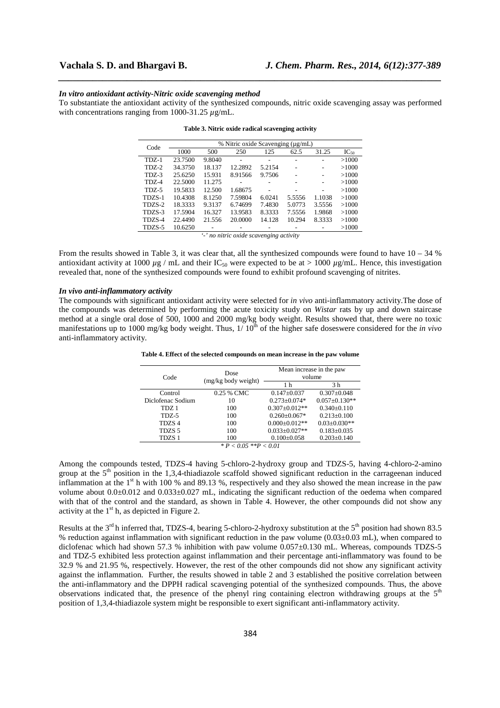#### *In vitro antioxidant activity-Nitric oxide scavenging method*

To substantiate the antioxidant activity of the synthesized compounds, nitric oxide scavenging assay was performed with concentrations ranging from 1000-31.25 *µ*g/mL.

*\_\_\_\_\_\_\_\_\_\_\_\_\_\_\_\_\_\_\_\_\_\_\_\_\_\_\_\_\_\_\_\_\_\_\_\_\_\_\_\_\_\_\_\_\_\_\_\_\_\_\_\_\_\_\_\_\_\_\_\_\_\_\_\_\_\_\_\_\_\_\_\_\_\_\_\_\_\_*

| Code    | % Nitric oxide Scavenging (µg/mL)                             |        |         |        |        |        |           |
|---------|---------------------------------------------------------------|--------|---------|--------|--------|--------|-----------|
|         | 1000                                                          | 500    | 250     | 125    | 62.5   | 31.25  | $IC_{50}$ |
| $TDZ-1$ | 23.7500                                                       | 9.8040 |         |        |        |        | >1000     |
| $TDZ-2$ | 34.3750                                                       | 18.137 | 12.2892 | 5.2154 |        |        | >1000     |
| $TDZ-3$ | 25.6250                                                       | 15.931 | 8.91566 | 9.7506 |        |        | >1000     |
| TDZ-4   | 22.5000                                                       | 11.275 |         |        |        |        | >1000     |
| $TDZ-5$ | 19.5833                                                       | 12.500 | 1.68675 |        |        |        | >1000     |
| TDZS-1  | 10.4308                                                       | 8.1250 | 7.59804 | 6.0241 | 5.5556 | 1.1038 | >1000     |
| TDZS-2  | 18.3333                                                       | 9.3137 | 6.74699 | 7.4830 | 5.0773 | 3.5556 | >1000     |
| TDZS-3  | 17.5904                                                       | 16.327 | 13.9583 | 8.3333 | 7.5556 | 1.9868 | >1000     |
| TDZS-4  | 22.4490                                                       | 21.556 | 20.0000 | 14.128 | 10.294 | 8.3333 | >1000     |
| TDZS-5  | 10.6250                                                       |        |         |        |        |        | >1000     |
|         | 6 - Francis Leader in andele a la carriera antica a calendari |        |         |        |        |        |           |

| Table 3. Nitric oxide radical scavenging activity |  |  |  |
|---------------------------------------------------|--|--|--|
|---------------------------------------------------|--|--|--|

*'-' no nitric oxide scavenging activity* 

From the results showed in Table 3, it was clear that, all the synthesized compounds were found to have  $10 - 34 \%$ antioxidant activity at 1000  $\mu$ g / mL and their IC<sub>50</sub> were expected to be at > 1000  $\mu$ g/mL. Hence, this investigation revealed that, none of the synthesized compounds were found to exhibit profound scavenging of nitrites.

# *In vivo anti-inflammatory activity*

The compounds with significant antioxidant activity were selected for *in vivo* anti-inflammatory activity.The dose of the compounds was determined by performing the acute toxicity study on *Wistar* rats by up and down staircase method at a single oral dose of 500, 1000 and 2000 mg/kg body weight. Results showed that, there were no toxic manifestations up to 1000 mg/kg body weight. Thus,  $1/10<sup>th</sup>$  of the higher safe doseswere considered for the *in vivo* anti-inflammatory activity.

| Code              | Dose                | Mean increase in the paw<br>volume |                     |  |
|-------------------|---------------------|------------------------------------|---------------------|--|
|                   | (mg/kg body weight) | 1 h                                | 3 h                 |  |
| Control           | 0.25 % CMC          | $0.147 \pm 0.037$                  | $0.307 + 0.048$     |  |
| Diclofenac Sodium | 10                  | $0.273 + 0.074*$                   | $0.057 \pm 0.130**$ |  |
| TDZ <sub>1</sub>  | 100                 | $0.307 \pm 0.012**$                | $0.340 \pm 0.110$   |  |
| TDZ-5             | 100                 | $0.260 \pm 0.067*$                 | $0.213 \pm 0.100$   |  |
| TDZS <sub>4</sub> | 100                 | $0.000 \pm 0.012**$                | $0.03 \pm 0.030**$  |  |
| TDZS <sub>5</sub> | 100                 | $0.033 \pm 0.027**$                | $0.183 \pm 0.035$   |  |
| TDZS 1            | 100                 | $0.100 + 0.058$                    | $0.203 + 0.140$     |  |

**Table 4. Effect of the selected compounds on mean increase in the paw volume** 

*\* P < 0.05 \*\*P < 0.01* 

Among the compounds tested, TDZS-4 having 5-chloro-2-hydroxy group and TDZS-5, having 4-chloro-2-amino group at the  $5<sup>th</sup>$  position in the 1,3,4-thiadiazole scaffold showed significant reduction in the carrageenan induced inflammation at the 1<sup>st</sup> h with 100 % and 89.13 %, respectively and they also showed the mean increase in the paw volume about 0.0±0.012 and 0.033±0.027 mL, indicating the significant reduction of the oedema when compared with that of the control and the standard, as shown in Table 4. However, the other compounds did not show any activity at the  $1<sup>st</sup>$  h, as depicted in Figure 2.

Results at the  $3<sup>rd</sup>$  h inferred that, TDZS-4, bearing 5-chloro-2-hydroxy substitution at the  $5<sup>th</sup>$  position had shown 83.5 % reduction against inflammation with significant reduction in the paw volume  $(0.03\pm0.03 \text{ mL})$ , when compared to diclofenac which had shown 57.3 % inhibition with paw volume 0.057±0.130 mL. Whereas, compounds TDZS-5 and TDZ-5 exhibited less protection against inflammation and their percentage anti-inflammatory was found to be 32.9 % and 21.95 %, respectively. However, the rest of the other compounds did not show any significant activity against the inflammation. Further, the results showed in table 2 and 3 established the positive correlation between the anti-inflammatory and the DPPH radical scavenging potential of the synthesized compounds. Thus, the above observations indicated that, the presence of the phenyl ring containing electron withdrawing groups at the  $5<sup>th</sup>$ position of 1,3,4-thiadiazole system might be responsible to exert significant anti-inflammatory activity.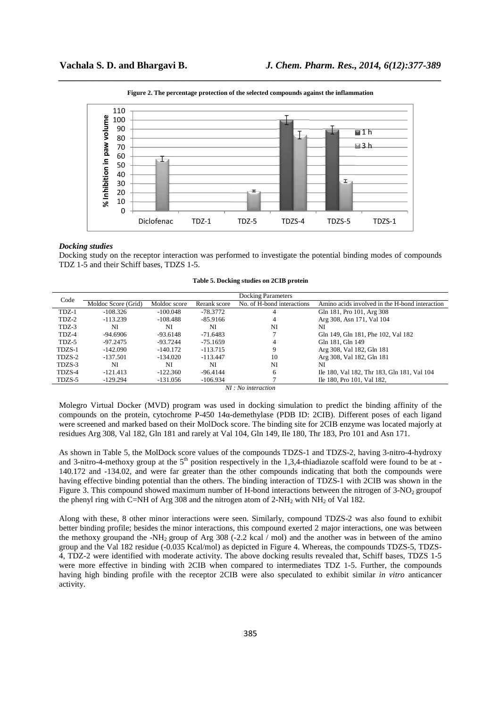

*\_\_\_\_\_\_\_\_\_\_\_\_\_\_\_\_\_\_\_\_\_\_\_\_\_\_\_\_\_\_\_\_\_\_\_\_\_\_\_\_\_\_\_\_\_\_\_\_\_\_\_\_\_\_\_\_\_\_\_\_\_\_\_\_\_\_\_\_\_\_\_\_\_\_\_\_\_\_* **Figure 2. The percentage protection of the selected compounds against the inflammation** 

### *Docking studies*

Docking study on the receptor interaction was performed to investigate the potential binding modes of compounds TDZ 1-5 and their Schiff bases, TDZS 1-5.

|  | Table 5. Docking studies on 2CIB protein |  |  |
|--|------------------------------------------|--|--|
|  |                                          |  |  |

| Code                                                                                       |                     |              |              | Docking Parameters         |                                                |  |
|--------------------------------------------------------------------------------------------|---------------------|--------------|--------------|----------------------------|------------------------------------------------|--|
|                                                                                            | Moldoc Score (Grid) | Moldoc score | Rerank score | No. of H-bond interactions | Amino acids involved in the H-bond interaction |  |
| $TDZ-1$                                                                                    | $-108.326$          | $-100.048$   | $-78.3772$   |                            | Gln 181, Pro 101, Arg 308                      |  |
| TDZ-2                                                                                      | $-113.239$          | -108.488     | -85.9166     |                            | Arg 308, Asn 171, Val 104                      |  |
| TDZ-3                                                                                      | NI                  | NI           | NI           | NI                         | NI                                             |  |
| TDZ-4                                                                                      | -94.6906            | $-93.6148$   | -71.6483     |                            | Gln 149, Gln 181, Phe 102, Val 182             |  |
| TDZ-5                                                                                      | -97.2475            | $-93.7244$   | -75.1659     |                            | Gln 181, Gln 149                               |  |
| TDZS-1                                                                                     | -142.090            | $-140.172$   | $-113.715$   |                            | Arg 308, Val 182, Gln 181                      |  |
| TDZS-2                                                                                     | -137.501            | $-134.020$   | $-113.447$   | 10                         | Arg 308, Val 182, Gln 181                      |  |
| TDZS-3                                                                                     | NI                  | NI           | NI           | NI                         | NI                                             |  |
| TDZS-4                                                                                     | $-121.413$          | $-122.360$   | $-96.4144$   | <sub>6</sub>               | Ile 180, Val 182, Thr 183, Gln 181, Val 104    |  |
| TDZS-5                                                                                     | $-129.294$          | $-131.056$   | $-106.934$   |                            | Ile 180, Pro 101, Val 182,                     |  |
| $\mathbf{M}$ $\mathbf{M}$ $\mathbf{M}$ $\mathbf{M}$ $\mathbf{M}$ $\mathbf{M}$ $\mathbf{M}$ |                     |              |              |                            |                                                |  |

*NI : No interaction* 

Molegro Virtual Docker (MVD) program was used in docking simulation to predict the binding affinity of the compounds on the protein, cytochrome P-450 14α-demethylase (PDB ID: 2CIB). Different poses of each ligand were screened and marked based on their MolDock score. The binding site for 2CIB enzyme was located majorly at residues Arg 308, Val 182, Gln 181 and rarely at Val 104, Gln 149, Ile 180, Thr 183, Pro 101 and Asn 171.

As shown in Table 5, the MolDock score values of the compounds TDZS-1 and TDZS-2, having 3-nitro-4-hydroxy and 3-nitro-4-methoxy group at the  $5<sup>th</sup>$  position respectively in the 1,3,4-thiadiazole scaffold were found to be at -140.172 and -134.02, and were far greater than the other compounds indicating that both the compounds were having effective binding potential than the others. The binding interaction of TDZS-1 with 2CIB was shown in the Figure 3. This compound showed maximum number of H-bond interactions between the nitrogen of  $3-NO<sub>2</sub>$  groupof the phenyl ring with C=NH of Arg 308 and the nitrogen atom of 2-NH<sub>2</sub> with NH<sub>2</sub> of Val 182.

Along with these, 8 other minor interactions were seen. Similarly, compound TDZS-2 was also found to exhibit better binding profile; besides the minor interactions, this compound exerted 2 major interactions, one was between the methoxy groupand the -NH<sub>2</sub> group of Arg 308 (-2.2 kcal  $\ell$  mol) and the another was in between of the amino group and the Val 182 residue (-0.035 Kcal/mol) as depicted in Figure 4. Whereas, the compounds TDZS-5, TDZS-4, TDZ-2 were identified with moderate activity. The above docking results revealed that, Schiff bases, TDZS 1-5 were more effective in binding with 2CIB when compared to intermediates TDZ 1-5. Further, the compounds having high binding profile with the receptor 2CIB were also speculated to exhibit similar *in vitro* anticancer activity.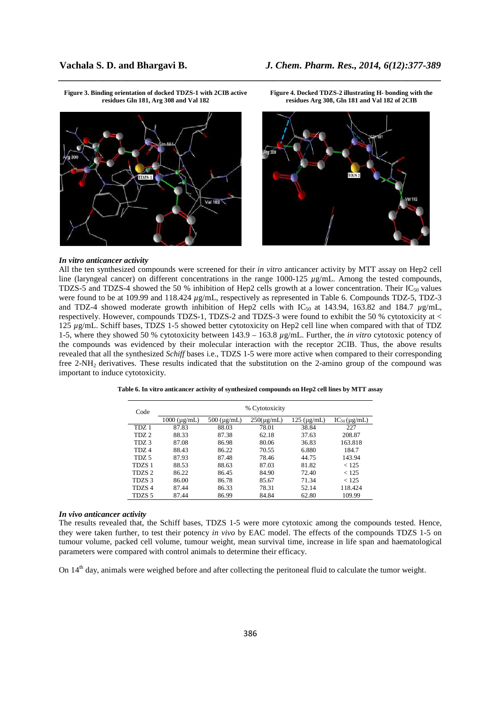







#### *In vitro anticancer activity*

All the ten synthesized compounds were screened for their *in vitro* anticancer activity by MTT assay on Hep2 cell line (laryngeal cancer) on different concentrations in the range 1000-125 *µ*g/mL. Among the tested compounds, TDZS-5 and TDZS-4 showed the 50 % inhibition of Hep2 cells growth at a lower concentration. Their  $IC_{50}$  values were found to be at 109.99 and 118.424  $\mu$ g/mL, respectively as represented in Table 6. Compounds TDZ-5, TDZ-3 and TDZ-4 showed moderate growth inhibition of Hep2 cells with IC<sub>50</sub> at 143.94, 163.82 and 184.7  $\mu$ g/mL, respectively. However, compounds TDZS-1, TDZS-2 and TDZS-3 were found to exhibit the 50 % cytotoxicity at < 125 *µ*g/mL. Schiff bases, TDZS 1-5 showed better cytotoxicity on Hep2 cell line when compared with that of TDZ 1-5, where they showed 50 % cytotoxicity between 143.9 – 163.8 *µ*g/mL. Further, the *in vitro* cytotoxic potency of the compounds was evidenced by their molecular interaction with the receptor 2CIB. Thus, the above results revealed that all the synthesized *Schiff* bases i.e., TDZS 1-5 were more active when compared to their corresponding free 2-NH2 derivatives. These results indicated that the substitution on the 2-amino group of the compound was important to induce cytotoxicity.

*\_\_\_\_\_\_\_\_\_\_\_\_\_\_\_\_\_\_\_\_\_\_\_\_\_\_\_\_\_\_\_\_\_\_\_\_\_\_\_\_\_\_\_\_\_\_\_\_\_\_\_\_\_\_\_\_\_\_\_\_\_\_\_\_\_\_\_\_\_\_\_\_\_\_\_\_\_\_*

| Code              | % Cytotoxicity       |                     |                 |                       |                           |  |
|-------------------|----------------------|---------------------|-----------------|-----------------------|---------------------------|--|
|                   | $1000 \, (\mu g/mL)$ | $500 \, (\mu g/mL)$ | $250(\mu g/mL)$ | $125 \text{ (µg/mL)}$ | $IC_{50}(\mu\text{g/mL})$ |  |
| TDZ 1             | 87.83                | 88.03               | 78.01           | 38.84                 | 227                       |  |
| TDZ <sub>2</sub>  | 88.33                | 87.38               | 62.18           | 37.63                 | 208.87                    |  |
| TDZ <sub>3</sub>  | 87.08                | 86.98               | 80.06           | 36.83                 | 163.818                   |  |
| TDZ <sub>4</sub>  | 88.43                | 86.22               | 70.55           | 6.880                 | 184.7                     |  |
| TDZ <sub>5</sub>  | 87.93                | 87.48               | 78.46           | 44.75                 | 143.94                    |  |
| TDZS <sub>1</sub> | 88.53                | 88.63               | 87.03           | 81.82                 | < 125                     |  |
| TDZS <sub>2</sub> | 86.22                | 86.45               | 84.90           | 72.40                 | < 125                     |  |
| TDZS <sub>3</sub> | 86.00                | 86.78               | 85.67           | 71.34                 | < 125                     |  |
| TDZS <sub>4</sub> | 87.44                | 86.33               | 78.31           | 52.14                 | 118.424                   |  |
| TDZS 5            | 87.44                | 86.99               | 84.84           | 62.80                 | 109.99                    |  |

**Table 6. In vitro anticancer activity of synthesized compounds on Hep2 cell lines by MTT assay** 

#### *In vivo anticancer activity*

The results revealed that, the Schiff bases, TDZS 1-5 were more cytotoxic among the compounds tested. Hence, they were taken further, to test their potency *in vivo* by EAC model. The effects of the compounds TDZS 1-5 on tumour volume, packed cell volume, tumour weight, mean survival time, increase in life span and haematological parameters were compared with control animals to determine their efficacy.

On 14<sup>th</sup> day, animals were weighed before and after collecting the peritoneal fluid to calculate the tumor weight.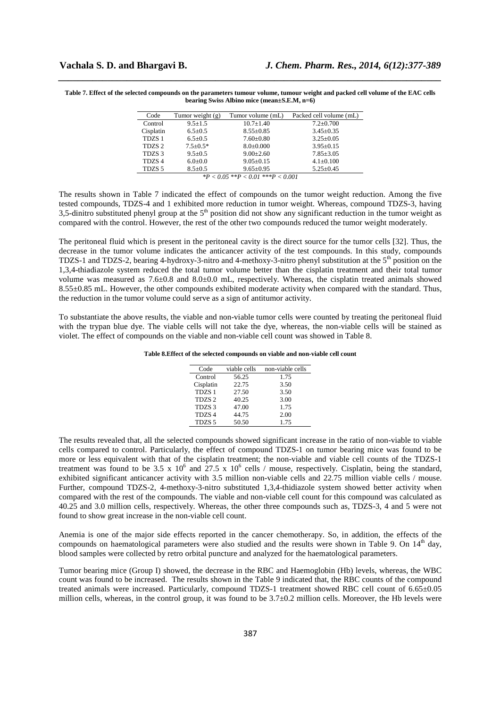**Table 7. Effect of the selected compounds on the parameters tumour volume, tumour weight and packed cell volume of the EAC cells bearing Swiss Albino mice (mean±S.E.M, n=6)** 

*\_\_\_\_\_\_\_\_\_\_\_\_\_\_\_\_\_\_\_\_\_\_\_\_\_\_\_\_\_\_\_\_\_\_\_\_\_\_\_\_\_\_\_\_\_\_\_\_\_\_\_\_\_\_\_\_\_\_\_\_\_\_\_\_\_\_\_\_\_\_\_\_\_\_\_\_\_\_*

| Code                                                                                                                                                                                                                                                                                                              | Tumor weight $(g)$ | Tumor volume (mL) | Packed cell volume (mL) |  |
|-------------------------------------------------------------------------------------------------------------------------------------------------------------------------------------------------------------------------------------------------------------------------------------------------------------------|--------------------|-------------------|-------------------------|--|
| Control                                                                                                                                                                                                                                                                                                           | $9.5 \pm 1.5$      | $10.7 \pm 1.40$   | $7.2 \pm 0.700$         |  |
| Cisplatin                                                                                                                                                                                                                                                                                                         | $6.5 \pm 0.5$      | $8.55 \pm 0.85$   | $3.45 \pm 0.35$         |  |
| TDZS <sub>1</sub>                                                                                                                                                                                                                                                                                                 | $6.5 + 0.5$        | $7.60 \pm 0.80$   | $3.25 \pm 0.05$         |  |
| TDZS <sub>2</sub>                                                                                                                                                                                                                                                                                                 | $7.5+0.5*$         | $8.0 \pm 0.000$   | $3.95+0.15$             |  |
| TDZS <sub>3</sub>                                                                                                                                                                                                                                                                                                 | $9.5 \pm 0.5$      | $9.00 + 2.60$     | $7.85 \pm 3.05$         |  |
| TDZS <sub>4</sub>                                                                                                                                                                                                                                                                                                 | $6.0 \pm 0.0$      | $9.05+0.15$       | $4.1 \pm 0.100$         |  |
| TDZS <sub>5</sub>                                                                                                                                                                                                                                                                                                 | $8.5 \pm 0.5$      | $9.65 \pm 0.95$   | $5.25 \pm 0.45$         |  |
| $\mathcal{L}$ and $\mathcal{L}$ and $\mathcal{L}$ and $\mathcal{L}$ and $\mathcal{L}$ and $\mathcal{L}$ and $\mathcal{L}$ and $\mathcal{L}$ and $\mathcal{L}$ and $\mathcal{L}$ and $\mathcal{L}$ and $\mathcal{L}$ and $\mathcal{L}$ and $\mathcal{L}$ and $\mathcal{L}$ and $\mathcal{L}$ and $\mathcal{L}$ and |                    |                   |                         |  |

*\*P < 0.05 \*\*P < 0.01 \*\*\*P < 0.001* 

The results shown in Table 7 indicated the effect of compounds on the tumor weight reduction. Among the five tested compounds, TDZS-4 and 1 exhibited more reduction in tumor weight. Whereas, compound TDZS-3, having 3,5-dinitro substituted phenyl group at the  $5<sup>th</sup>$  position did not show any significant reduction in the tumor weight as compared with the control. However, the rest of the other two compounds reduced the tumor weight moderately.

The peritoneal fluid which is present in the peritoneal cavity is the direct source for the tumor cells [32]. Thus, the decrease in the tumor volume indicates the anticancer activity of the test compounds. In this study, compounds TDZS-1 and TDZS-2, bearing 4-hydroxy-3-nitro and 4-methoxy-3-nitro phenyl substitution at the  $5<sup>th</sup>$  position on the 1,3,4-thiadiazole system reduced the total tumor volume better than the cisplatin treatment and their total tumor volume was measured as 7.6±0.8 and 8.0±0.0 mL, respectively. Whereas, the cisplatin treated animals showed 8.55±0.85 mL. However, the other compounds exhibited moderate activity when compared with the standard. Thus, the reduction in the tumor volume could serve as a sign of antitumor activity.

To substantiate the above results, the viable and non-viable tumor cells were counted by treating the peritoneal fluid with the trypan blue dye. The viable cells will not take the dye, whereas, the non-viable cells will be stained as violet. The effect of compounds on the viable and non-viable cell count was showed in Table 8.

**Table 8.Effect of the selected compounds on viable and non-viable cell count** 

| Code              | viable cells | non-viable cells |
|-------------------|--------------|------------------|
| Control           | 56.25        | 1.75             |
| Cisplatin         | 22.75        | 3.50             |
| TDZS <sub>1</sub> | 27.50        | 3.50             |
| TDZS <sub>2</sub> | 40.25        | 3.00             |
| TDZS <sub>3</sub> | 47.00        | 1.75             |
| TDZS <sub>4</sub> | 44.75        | 2.00             |
| TDZS <sub>5</sub> | 50.50        | 1.75             |

The results revealed that, all the selected compounds showed significant increase in the ratio of non-viable to viable cells compared to control. Particularly, the effect of compound TDZS-1 on tumor bearing mice was found to be more or less equivalent with that of the cisplatin treatment; the non-viable and viable cell counts of the TDZS-1 treatment was found to be 3.5 x  $10^6$  and  $27.5$  x  $10^6$  cells / mouse, respectively. Cisplatin, being the standard, exhibited significant anticancer activity with 3.5 million non-viable cells and 22.75 million viable cells / mouse. Further, compound TDZS-2, 4-methoxy-3-nitro substituted 1,3,4-thidiazole system showed better activity when compared with the rest of the compounds. The viable and non-viable cell count for this compound was calculated as 40.25 and 3.0 million cells, respectively. Whereas, the other three compounds such as, TDZS-3, 4 and 5 were not found to show great increase in the non-viable cell count.

Anemia is one of the major side effects reported in the cancer chemotherapy. So, in addition, the effects of the compounds on haematological parameters were also studied and the results were shown in Table 9. On  $14<sup>th</sup>$  day, blood samples were collected by retro orbital puncture and analyzed for the haematological parameters.

Tumor bearing mice (Group I) showed, the decrease in the RBC and Haemoglobin (Hb) levels, whereas, the WBC count was found to be increased. The results shown in the Table 9 indicated that, the RBC counts of the compound treated animals were increased. Particularly, compound TDZS-1 treatment showed RBC cell count of 6.65±0.05 million cells, whereas, in the control group, it was found to be 3.7±0.2 million cells. Moreover, the Hb levels were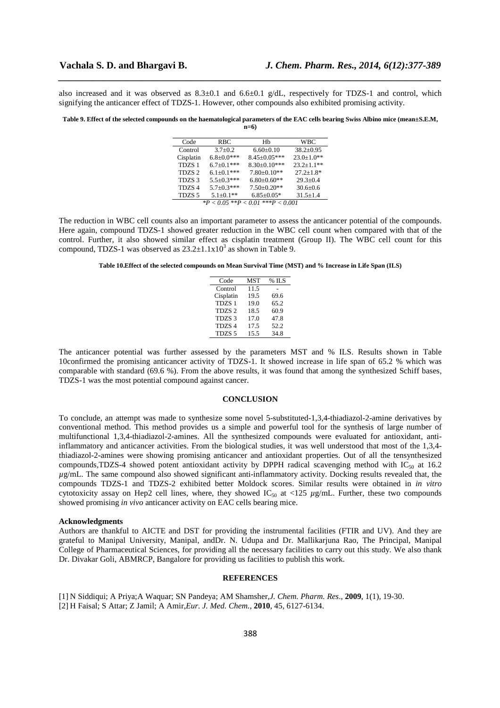also increased and it was observed as  $8.3\pm0.1$  and  $6.6\pm0.1$  g/dL, respectively for TDZS-1 and control, which signifying the anticancer effect of TDZS-1. However, other compounds also exhibited promising activity.

*\_\_\_\_\_\_\_\_\_\_\_\_\_\_\_\_\_\_\_\_\_\_\_\_\_\_\_\_\_\_\_\_\_\_\_\_\_\_\_\_\_\_\_\_\_\_\_\_\_\_\_\_\_\_\_\_\_\_\_\_\_\_\_\_\_\_\_\_\_\_\_\_\_\_\_\_\_\_*

#### **Table 9. Effect of the selected compounds on the haematological parameters of the EAC cells bearing Swiss Albino mice (mean±S.E.M, n=6)**

| Code                                    | RBC               | Hb                 | WBC             |  |
|-----------------------------------------|-------------------|--------------------|-----------------|--|
| Control                                 | $3.7 \pm 0.2$     | $6.60 \pm 0.10$    | $38.2 + 0.95$   |  |
| Cisplatin                               | $6.8 \pm 0.0$ *** | $8.45 \pm 0.05***$ | $23.0 + 1.0$ ** |  |
| TDZS <sub>1</sub>                       | $6.7+0.1***$      | $8.30 \pm 0.10***$ | $23.2 + 1.1**$  |  |
| TDZS <sub>2</sub>                       | $6.1 \pm 0.1$ *** | $7.80 \pm 0.10**$  | $27.2 + 1.8*$   |  |
| TDZS <sub>3</sub>                       | $5.5 + 0.3$ ***   | $6.80 \pm 0.60$ ** | $29.3 + 0.4$    |  |
| TDZS <sub>4</sub>                       | $5.7 \pm 0.3$ *** | $7.50 \pm 0.20**$  | $30.6 + 0.6$    |  |
| TDZS <sub>5</sub>                       | $5.1 + 0.1**$     | $6.85 \pm 0.05*$   | $31.5 + 1.4$    |  |
| *** $\bm{p}$<br>$*P < 0.05$ $*P < 0.01$ |                   |                    |                 |  |

The reduction in WBC cell counts also an important parameter to assess the anticancer potential of the compounds. Here again, compound TDZS-1 showed greater reduction in the WBC cell count when compared with that of the control. Further, it also showed similar effect as cisplatin treatment (Group II). The WBC cell count for this compound, TDZS-1 was observed as  $23.2 \pm 1.1 \times 10^3$  as shown in Table 9.

**Table 10.Effect of the selected compounds on Mean Survival Time (MST) and % Increase in Life Span (ILS)** 

| Code              | MST  | $\%$ ILS |
|-------------------|------|----------|
| Control           | 11.5 |          |
| Cisplatin         | 19.5 | 69.6     |
| TDZS <sub>1</sub> | 19.0 | 65.2     |
| TDZS <sub>2</sub> | 18.5 | 60.9     |
| TDZS <sub>3</sub> | 17.0 | 47.8     |
| TDZS <sub>4</sub> | 17.5 | 52.2     |
| TDZS <sub>5</sub> | 15.5 | 34.8     |

The anticancer potential was further assessed by the parameters MST and % ILS. Results shown in Table 10confirmed the promising anticancer activity of TDZS-1. It showed increase in life span of 65.2 % which was comparable with standard (69.6 %). From the above results, it was found that among the synthesized Schiff bases, TDZS-1 was the most potential compound against cancer.

# **CONCLUSION**

To conclude, an attempt was made to synthesize some novel 5-substituted-1,3,4-thiadiazol-2-amine derivatives by conventional method. This method provides us a simple and powerful tool for the synthesis of large number of multifunctional 1,3,4-thiadiazol-2-amines. All the synthesized compounds were evaluated for antioxidant, antiinflammatory and anticancer activities. From the biological studies, it was well understood that most of the 1,3,4 thiadiazol-2-amines were showing promising anticancer and antioxidant properties. Out of all the tensynthesized compounds, TDZS-4 showed potent antioxidant activity by DPPH radical scavenging method with  $IC_{50}$  at 16.2 *µ*g/mL. The same compound also showed significant anti-inflammatory activity. Docking results revealed that, the compounds TDZS-1 and TDZS-2 exhibited better Moldock scores. Similar results were obtained in *in vitro* cytotoxicity assay on Hep2 cell lines, where, they showed  $IC_{50}$  at <125  $\mu$ g/mL. Further, these two compounds showed promising *in vivo* anticancer activity on EAC cells bearing mice.

# **Acknowledgments**

Authors are thankful to AICTE and DST for providing the instrumental facilities (FTIR and UV). And they are grateful to Manipal University, Manipal, andDr. N. Udupa and Dr. Mallikarjuna Rao, The Principal, Manipal College of Pharmaceutical Sciences, for providing all the necessary facilities to carry out this study. We also thank Dr. Divakar Goli, ABMRCP, Bangalore for providing us facilities to publish this work.

# **REFERENCES**

[1] N Siddiqui; A Priya;A Waquar; SN Pandeya; AM Shamsher,*J. Chem. Pharm. Res*., **2009**, 1(1), 19-30.

[2] H Faisal; S Attar; Z Jamil; A Amir,*Eur. J. Med. Chem.*, **2010**, 45, 6127-6134.